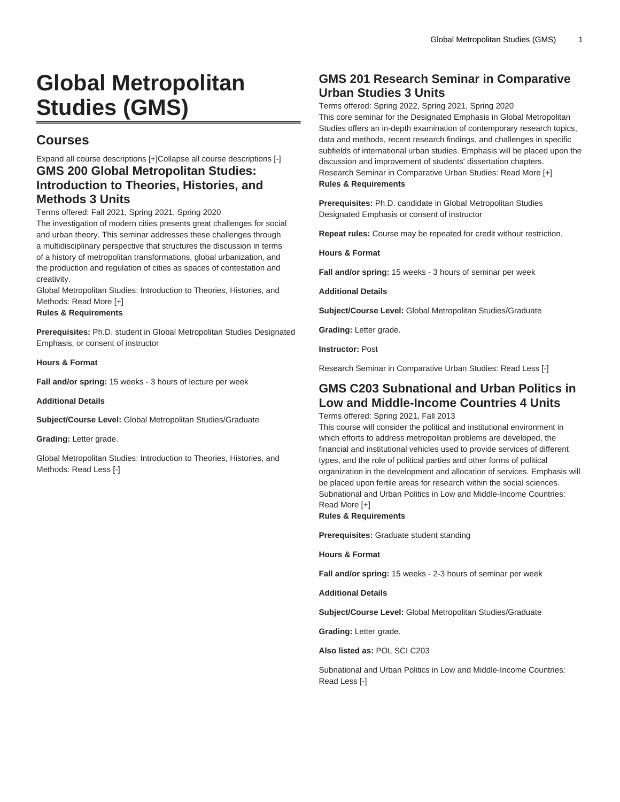# **Global Metropolitan Studies (GMS)**

# **Courses**

## Expand all course descriptions [+]Collapse all course descriptions [-] **GMS 200 Global Metropolitan Studies: Introduction to Theories, Histories, and Methods 3 Units**

Terms offered: Fall 2021, Spring 2021, Spring 2020

The investigation of modern cities presents great challenges for social and urban theory. This seminar addresses these challenges through a multidisciplinary perspective that structures the discussion in terms of a history of metropolitan transformations, global urbanization, and the production and regulation of cities as spaces of contestation and creativity.

Global Metropolitan Studies: Introduction to Theories, Histories, and Methods: Read More [+]

#### **Rules & Requirements**

**Prerequisites:** Ph.D. student in Global Metropolitan Studies Designated Emphasis, or consent of instructor

**Hours & Format**

**Fall and/or spring:** 15 weeks - 3 hours of lecture per week

**Additional Details**

**Subject/Course Level:** Global Metropolitan Studies/Graduate

**Grading:** Letter grade.

Global Metropolitan Studies: Introduction to Theories, Histories, and Methods: Read Less [-]

# **GMS 201 Research Seminar in Comparative Urban Studies 3 Units**

Terms offered: Spring 2022, Spring 2021, Spring 2020 This core seminar for the Designated Emphasis in Global Metropolitan Studies offers an in-depth examination of contemporary research topics, data and methods, recent research findings, and challenges in specific subfields of international urban studies. Emphasis will be placed upon the discussion and improvement of students' dissertation chapters. Research Seminar in Comparative Urban Studies: Read More [+] **Rules & Requirements**

**Prerequisites:** Ph.D. candidate in Global Metropolitan Studies Designated Emphasis or consent of instructor

**Repeat rules:** Course may be repeated for credit without restriction.

**Hours & Format**

**Fall and/or spring:** 15 weeks - 3 hours of seminar per week

**Additional Details**

**Subject/Course Level:** Global Metropolitan Studies/Graduate

**Grading:** Letter grade.

**Instructor:** Post

Research Seminar in Comparative Urban Studies: Read Less [-]

### **GMS C203 Subnational and Urban Politics in Low and Middle-Income Countries 4 Units**

Terms offered: Spring 2021, Fall 2013

This course will consider the political and institutional environment in which efforts to address metropolitan problems are developed, the financial and institutional vehicles used to provide services of different types, and the role of political parties and other forms of political organization in the development and allocation of services. Emphasis will be placed upon fertile areas for research within the social sciences. Subnational and Urban Politics in Low and Middle-Income Countries: Read More [+]

**Rules & Requirements**

**Prerequisites:** Graduate student standing

**Hours & Format**

**Fall and/or spring:** 15 weeks - 2-3 hours of seminar per week

**Additional Details**

**Subject/Course Level:** Global Metropolitan Studies/Graduate

**Grading:** Letter grade.

**Also listed as:** POL SCI C203

Subnational and Urban Politics in Low and Middle-Income Countries: Read Less [-]